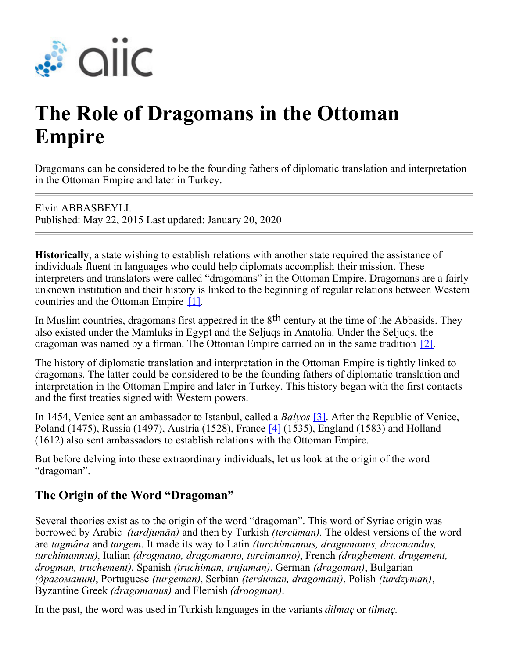

# **The Role of Dragomans in the Ottoman Empire**

Dragomans can be considered to be the founding fathers of diplomatic translation and interpretation in the Ottoman Empire and later in Turkey.

Elvin ABBASBEYLI. Published: May 22, 2015 Last updated: January 20, 2020

**Historically**, a state wishing to establish relations with another state required the assistance of individuals fluent in languages who could help diplomats accomplish their mission. These interpreters and translators were called "dragomans" in the Ottoman Empire. Dragomans are a fairly unknown institution and their history is linked to the beginning of regular relations between Western countries and the Ottoman Empire [1].

In Muslim countries, dragomans first appeared in the  $8<sup>th</sup>$  century at the time of the Abbasids. They also existed under the Mamluks in Egypt and the Seljuqs in Anatolia. Under the Seljuqs, the dragoman was named by a firman. The Ottoman Empire carried on in the same tradition [2].

The history of diplomatic translation and interpretation in the Ottoman Empire is tightly linked to dragomans. The latter could be considered to be the founding fathers of diplomatic translation and interpretation in the Ottoman Empire and later in Turkey. This history began with the first contacts and the first treaties signed with Western powers.

In 1454, Venice sent an ambassador to Istanbul, called a *Balyos* [3]. After the Republic of Venice, Poland (1475), Russia (1497), Austria (1528), France [4] (1535), England (1583) and Holland (1612) also sent ambassadors to establish relations with the Ottoman Empire.

But before delving into these extraordinary individuals, let us look at the origin of the word "dragoman".

## **The Origin of the Word "Dragoman"**

Several theories exist as to the origin of the word "dragoman". This word of Syriac origin was borrowed by Arabic *(tardjumān)* and then by Turkish *(tercüman).* The oldest versions of the word are *tagmâna* and *targem*. It made its way to Latin *(turchimannus, dragumanus, dracmandus, turchimannus)*, Italian *(drogmano, dragomanno, turcimanno)*, French *(drughement, drugement, drogman, truchement)*, Spanish *(truchiman, trujaman)*, German *(dragoman)*, Bulgarian *(драгоманин)*, Portuguese *(turgeman)*, Serbian *(terduman, dragomani)*, Polish *(turdzyman)*, Byzantine Greek *(dragomanus)* and Flemish *(droogman)*.

In the past, the word was used in Turkish languages in the variants *dilmaç* or *tilmaç.*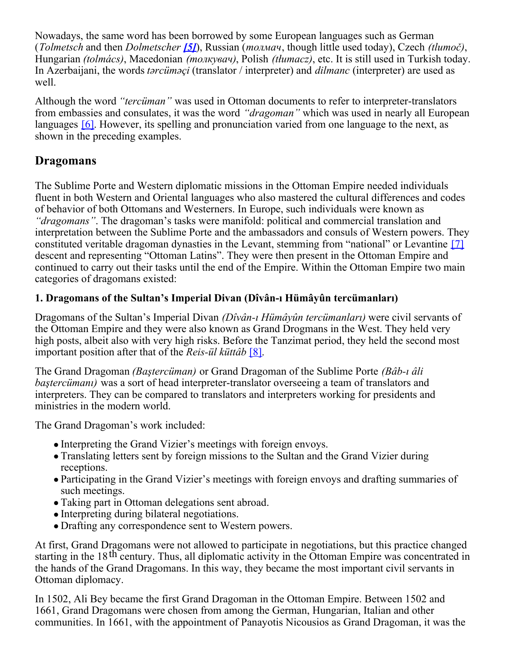Nowadays, the same word has been borrowed by some European languages such as German (*Tolmetsch* and then *Dolmetscher [5]*), Russian (*толмач*, though little used today), Czech *(tlumoč)*, Hungarian *(tolmács)*, Macedonian *(толкувач)*, Polish *(tłumacz)*, etc. It is still used in Turkish today. In Azerbaijani, the words *tərcüməçi* (translator / interpreter) and *dilmanc* (interpreter) are used as well.

Although the word *"tercüman"* was used in Ottoman documents to refer to interpreter-translators from embassies and consulates, it was the word *"dragoman"* which was used in nearly all European languages [6]. However, its spelling and pronunciation varied from one language to the next, as shown in the preceding examples.

### **Dragomans**

The Sublime Porte and Western diplomatic missions in the Ottoman Empire needed individuals fluent in both Western and Oriental languages who also mastered the cultural differences and codes of behavior of both Ottomans and Westerners. In Europe, such individuals were known as *"dragomans"*. The dragoman's tasks were manifold: political and commercial translation and interpretation between the Sublime Porte and the ambassadors and consuls of Western powers. They constituted veritable dragoman dynasties in the Levant, stemming from "national" or Levantine [7] descent and representing "Ottoman Latins". They were then present in the Ottoman Empire and continued to carry out their tasks until the end of the Empire. Within the Ottoman Empire two main categories of dragomans existed:

#### **1. Dragomans of the Sultan's Imperial Divan (Dîvân-ı Hümâyûn tercümanları)**

Dragomans of the Sultan's Imperial Divan *(Dîvân-ı Hümâyûn tercümanları)* were civil servants of the Ottoman Empire and they were also known as Grand Drogmans in the West. They held very high posts, albeit also with very high risks. Before the Tanzimat period, they held the second most important position after that of the *Reis-ül küttâb* [8].

The Grand Dragoman *(Baştercüman)* or Grand Dragoman of the Sublime Porte *(Bâb-ı âli baştercümanı)* was a sort of head interpreter-translator overseeing a team of translators and interpreters. They can be compared to translators and interpreters working for presidents and ministries in the modern world.

The Grand Dragoman's work included:

- Interpreting the Grand Vizier's meetings with foreign envoys.
- Translating letters sent by foreign missions to the Sultan and the Grand Vizier during receptions.
- Participating in the Grand Vizier's meetings with foreign envoys and drafting summaries of such meetings.
- Taking part in Ottoman delegations sent abroad.
- Interpreting during bilateral negotiations.
- Drafting any correspondence sent to Western powers.

At first, Grand Dragomans were not allowed to participate in negotiations, but this practice changed starting in the  $18<sup>th</sup>$  century. Thus, all diplomatic activity in the Ottoman Empire was concentrated in the hands of the Grand Dragomans. In this way, they became the most important civil servants in Ottoman diplomacy.

In 1502, Ali Bey became the first Grand Dragoman in the Ottoman Empire. Between 1502 and 1661, Grand Dragomans were chosen from among the German, Hungarian, Italian and other communities. In 1661, with the appointment of Panayotis Nicousios as Grand Dragoman, it was the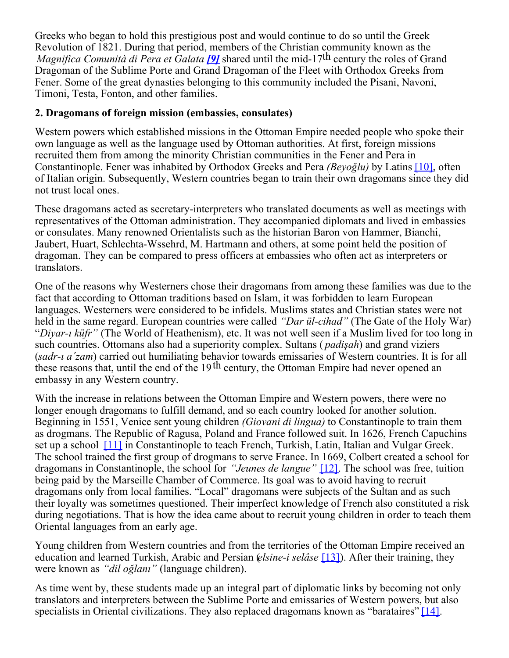Greeks who began to hold this prestigious post and would continue to do so until the Greek Revolution of 1821. During that period, members of the Christian community known as the *Magnifica Comunità di Pera et Galata <i>[9]* shared until the mid-17<sup>th</sup> century the roles of Grand Dragoman of the Sublime Porte and Grand Dragoman of the Fleet with Orthodox Greeks from Fener. Some of the great dynasties belonging to this community included the Pisani, Navoni, Timoni, Testa, Fonton, and other families.

#### **2. Dragomans of foreign mission (embassies, consulates)**

Western powers which established missions in the Ottoman Empire needed people who spoke their own language as well as the language used by Ottoman authorities. At first, foreign missions recruited them from among the minority Christian communities in the Fener and Pera in Constantinople. Fener was inhabited by Orthodox Greeks and Pera *(Beyoğlu)* by Latins [10], often of Italian origin. Subsequently, Western countries began to train their own dragomans since they did not trust local ones.

These dragomans acted as secretary-interpreters who translated documents as well as meetings with representatives of the Ottoman administration. They accompanied diplomats and lived in embassies or consulates. Many renowned Orientalists such as the historian Baron von Hammer, Bianchi, Jaubert, Huart, Schlechta-Wssehrd, M. Hartmann and others, at some point held the position of dragoman. They can be compared to press officers at embassies who often act as interpreters or translators.

One of the reasons why Westerners chose their dragomans from among these families was due to the fact that according to Ottoman traditions based on Islam, it was forbidden to learn European languages. Westerners were considered to be infidels. Muslims states and Christian states were not held in the same regard. European countries were called *"Dar ül-cihad"* (The Gate of the Holy War) "*Diyar-ı küfr"* (The World of Heathenism), etc. It was not well seen if a Muslim lived for too long in such countries. Ottomans also had a superiority complex. Sultans ( *padişah*) and grand viziers (*sadr-ı a´zam*) carried out humiliating behavior towards emissaries of Western countries. It is for all these reasons that, until the end of the 19<sup>th</sup> century, the Ottoman Empire had never opened an embassy in any Western country.

With the increase in relations between the Ottoman Empire and Western powers, there were no longer enough dragomans to fulfill demand, and so each country looked for another solution. Beginning in 1551, Venice sent young children *(Giovani di lingua)* to Constantinople to train them as drogmans. The Republic of Ragusa, Poland and France followed suit. In 1626, French Capuchins set up a school [11] in Constantinople to teach French, Turkish, Latin, Italian and Vulgar Greek. The school trained the first group of drogmans to serve France. In 1669, Colbert created a school for dragomans in Constantinople, the school for *"Jeunes de langue"* [12]. The school was free, tuition being paid by the Marseille Chamber of Commerce. Its goal was to avoid having to recruit dragomans only from local families. "Local" dragomans were subjects of the Sultan and as such their loyalty was sometimes questioned. Their imperfect knowledge of French also constituted a risk during negotiations. That is how the idea came about to recruit young children in order to teach them Oriental languages from an early age.

Young children from Western countries and from the territories of the Ottoman Empire received an education and learned Turkish, Arabic and Persian (*elsine-i selâse* [13]). After their training, they were known as *"dil oğlanı"* (language children).

As time went by, these students made up an integral part of diplomatic links by becoming not only translators and interpreters between the Sublime Porte and emissaries of Western powers, but also specialists in Oriental civilizations. They also replaced dragomans known as "barataires"  $[14]$ .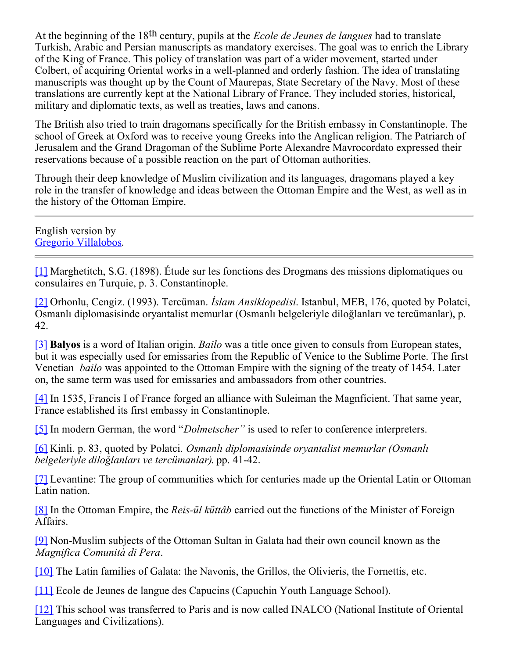At the beginning of the 18th century, pupils at the *Ecole de Jeunes de langues* had to translate Turkish, Arabic and Persian manuscripts as mandatory exercises. The goal was to enrich the Library of the King of France. This policy of translation was part of a wider movement, started under Colbert, of acquiring Oriental works in a well-planned and orderly fashion. The idea of translating manuscripts was thought up by the Count of Maurepas, State Secretary of the Navy. Most of these translations are currently kept at the National Library of France. They included stories, historical, military and diplomatic texts, as well as treaties, laws and canons.

The British also tried to train dragomans specifically for the British embassy in Constantinople. The school of Greek at Oxford was to receive young Greeks into the Anglican religion. The Patriarch of Jerusalem and the Grand Dragoman of the Sublime Porte Alexandre Mavrocordato expressed their reservations because of a possible reaction on the part of Ottoman authorities.

Through their deep knowledge of Muslim civilization and its languages, dragomans played a key role in the transfer of knowledge and ideas between the Ottoman Empire and the West, as well as in the history of the Ottoman Empire.

English version by [Gregorio Villalobos](https://members.aiic.net/directories/interpreters/5978).

[1] Marghetitch, S.G. (1898). Étude sur les fonctions des Drogmans des missions diplomatiques ou consulaires en Turquie, p. 3. Constantinople.

[2] Orhonlu, Cengiz. (1993). Tercüman. *İslam Ansiklopedisi*. Istanbul, MEB, 176, quoted by Polatci, Osmanlı diplomasisinde oryantalist memurlar (Osmanlı belgeleriyle diloğlanları ve tercümanlar), p. 42.

[3] **Balyos** is a word of Italian origin. *Bailo* was a title once given to consuls from European states, but it was especially used for emissaries from the Republic of Venice to the Sublime Porte. The first Venetian *bailo* was appointed to the Ottoman Empire with the signing of the treaty of 1454. Later on, the same term was used for emissaries and ambassadors from other countries.

[4] In 1535, Francis I of France forged an alliance with Suleiman the Magnficient. That same year, France established its first embassy in Constantinople.

[5] In modern German, the word "*Dolmetscher"* is used to refer to conference interpreters.

[6] Kinli. p. 83, quoted by Polatci. *Osmanlı diplomasisinde oryantalist memurlar (Osmanlı belgeleriyle diloğlanları ve tercümanlar)*. pp. 41-42.

[7] Levantine: The group of communities which for centuries made up the Oriental Latin or Ottoman Latin nation.

[8] In the Ottoman Empire, the *Reis-ül küttâb* carried out the functions of the Minister of Foreign Affairs.

[9] Non-Muslim subjects of the Ottoman Sultan in Galata had their own council known as the *Magnifica Comunità di Pera*.

[10] The Latin families of Galata: the Navonis, the Grillos, the Olivieris, the Fornettis, etc.

[11] Ecole de Jeunes de langue des Capucins (Capuchin Youth Language School).

[12] This school was transferred to Paris and is now called INALCO (National Institute of Oriental Languages and Civilizations).